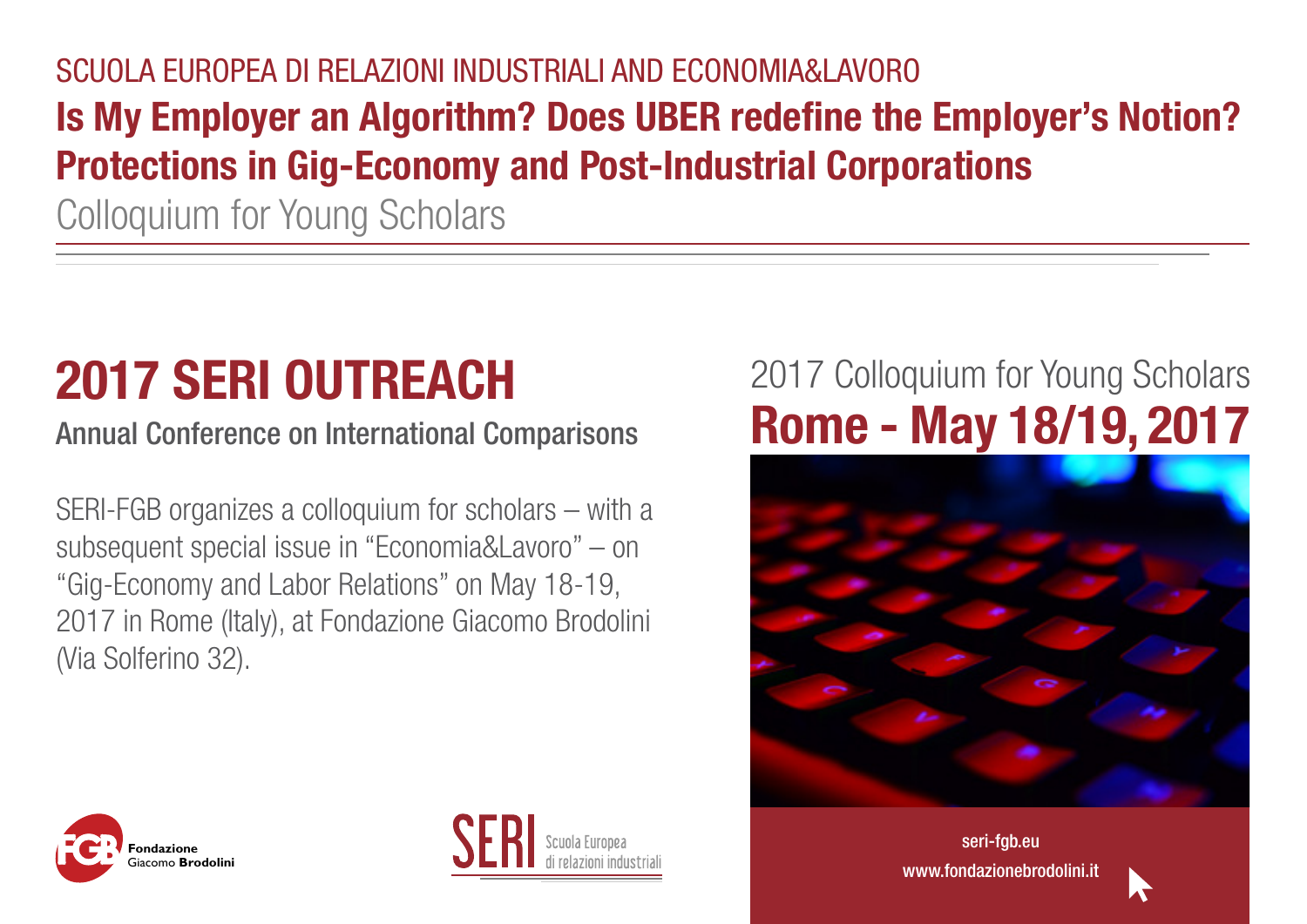## SCUOLA EUROPEA DI RELAZIONI INDUSTRIALI AND ECONOMIA&LAVORO **Is My Employer an Algorithm? Does UBER redefine the Employer's Notion? Protections in Gig-Economy and Post-Industrial Corporations**

Colloquium for Young Scholars

# **2017 SERI OUTREACH**

Annual Conference on International Comparisons

SERI-FGB organizes a colloquium for scholars – with a subsequent special issue in "Economia&Lavoro" – on "Gig-Economy and Labor Relations" on May 18-19, 2017 in Rome (Italy), at Fondazione Giacomo Brodolini (Via Solferino 32).

## 2017 Colloquium for Young Scholars **Rome - May 18/19, 2017**







[seri-fgb.eu](http://www.seri-fgb.eu/) www.fondazionebrodolini.it